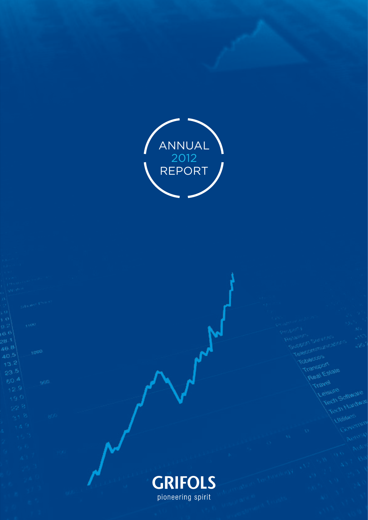



Transport

 $13.2$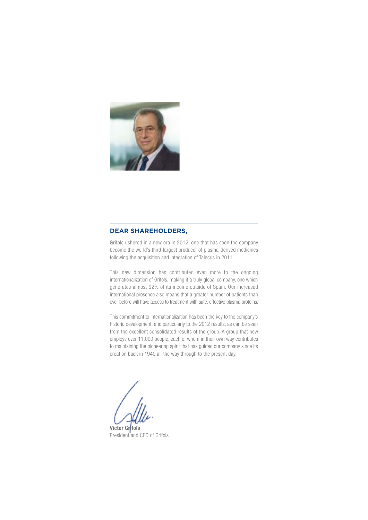

### **Dear shareholders,**

Grifols ushered in a new era in 2012, one that has seen the company become the world's third-largest producer of plasma-derived medicines following the acquisition and integration of Talecris in 2011.

This new dimension has contributed even more to the ongoing internationalization of Grifols, making it a truly global company, one which generates almost 92% of its income outside of Spain. Our increased international presence also means that a greater number of patients than ever before will have access to treatment with safe, effective plasma proteins.

This commitment to internationalization has been the key to the company's historic development, and particularly to the 2012 results, as can be seen from the excellent consolidated results of the group. A group that now employs over 11,000 people, each of whom in their own way contributes to maintaining the pioneering spirit that has guided our company since its creation back in 1940 all the way through to the present day.

**Víctor Grífols** President and CEO of Grifols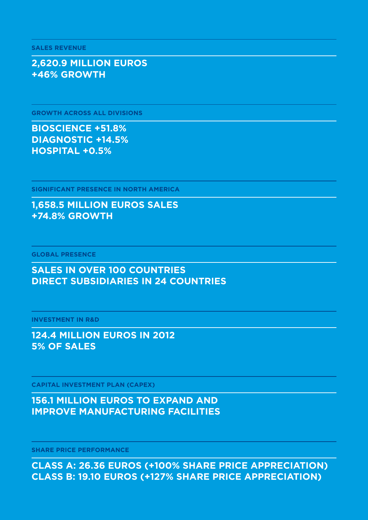### **class a: 26.36 euros (+100% share price appreciation) class B: 19.10 euros (+127% share price appreciation)**

**Share price performance**

## **156.1 million euros to expand and improve manufacturing facilities**

**Capital Investment Plan (CAPEX)**

### **124.4 million euros in 2012 5% of sales**

**Investment in R&D**

### **Sales in over 100 countries Direct subsidiaries in 24 countries**

**Global presence**

### **1,658.5 million euros sales +74.8% growth**

**Significant presence in North America**

## **Bioscience +51.8% Diagnostic +14.5% Hospital +0.5%**

**Growth across all divisions**

### **2,620.9 million euros +46% growth**

**sales revenue**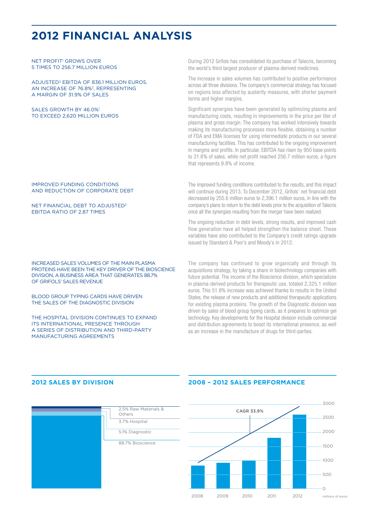## **2012 Financial analysis**

NET PROFIT<sup>1</sup> GROWS OVE 5 times to 256.7 million euros

Adjusted2 EBITDA of 836.1 million euros. AN INCREASE OF 76.8%<sup>2</sup>, REPRESENTING a margin of 31.9% of sales

#### SALES GROWTH BY 46.0%<sup>1</sup> to exceed 2,620 million euros

#### Improved funding conditions and reduction of corporate debt

#### Net financial debt to adjusted2 EBITDA RATIO OF 2.87 TIMES

Increased sales volumes of the main plasma proteins have been the key driver of the Bioscience division, a business area that generates 88.7% of Grifols' sales revenue

BLOOD GROUP TYPING CARDS HAVE DRIVEN the sales of the Diagnostic division

The Hospital division continues to expand its international presence through a series of distribution and third-party manufacturing agreements

During 2012 Grifols has consolidated its purchase of Talecris, becoming the world's third largest producer of plasma-derived medicines.

The increase in sales volumes has contributed to positive performance across all three divisions. The company's commercial strategy has focused on regions less affected by austerity measures, with shorter payment terms and higher margins.

Significant synergies have been generated by optimizing plasma and manufacturing costs, resulting in improvements in the price per liter of plasma and gross margin. The company has worked intensively towards making its manufacturing processes more flexible, obtaining a number of FDA and EMA licenses for using intermediate products in our several manufacturing facilities. This has contributed to the ongoing improvement in margins and profits. In particular, EBITDA has risen by 950 base points to 31.6% of sales, while net profit reached 256.7 million euros, a figure that represents 9.8% of income.

The improved funding conditions contributed to the results, and this impact will continue during 2013. To December 2012, Grifols' net financial debt decreased by 255.6 million euros to 2,396.1 million euros, in line with the company's plans to return to the debt levels prior to the acquisition of Talecris once all the synergies resulting from the merger have been realized.

The ongoing reduction in debt levels, strong results, and improved cash flow generation have all helped strengthen the balance sheet. These variables have also contributed to the Company's credit ratings upgrade issued by Standard & Poor's and Moody's in 2012.

The company has continued to grow organically and through its acquisitions strategy, by taking a share in biotechnology companies with future potential. The income of the Bioscience division, which specializes in plasma-derived products for therapeutic use, totaled 2,325.1 million euros. This 51.8% increase was achieved thanks to results in the United States, the release of new products and additional therapeutic applications for existing plasma proteins. The growth of the Diagnostic division was driven by sales of blood group typing cards, as it prepares to optimize gel technology. Key developments for the Hospital division include commercial and distribution agreements to boost its international presence, as well as an increase in the manufacture of drugs for third-parties.

### **2012 Sales by Division**



### **2008 – 2012 Sales Performance**

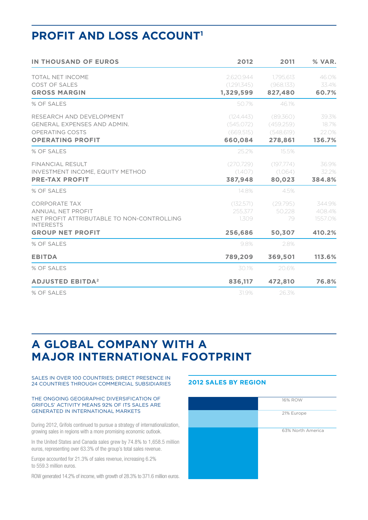# **PROFIT AND LOSS ACCOUNT1**

| <b>IN THOUSAND OF EUROS</b>                                                                                                            | 2012                                            | 2011                                           | % VAR.                                |
|----------------------------------------------------------------------------------------------------------------------------------------|-------------------------------------------------|------------------------------------------------|---------------------------------------|
| <b>TOTAL NET INCOME</b><br>COST OF SALES<br><b>GROSS MARGIN</b>                                                                        | 2,620,944<br>(1.291.345)<br>1,329,599           | 1,795,613<br>(968,133)<br>827,480              | 46.0%<br>33.4%<br>60.7%               |
| % OF SALES                                                                                                                             | 50.7%                                           | 46.1%                                          |                                       |
| RESEARCH AND DEVELOPMENT<br><b>GENERAL EXPENSES AND ADMIN.</b><br>OPERATING COSTS<br><b>OPERATING PROFIT</b>                           | (124, 443)<br>(545.072)<br>(669,515)<br>660,084 | (89,360)<br>(459,259)<br>(548, 619)<br>278,861 | 39.3%<br>18.7%<br>22.0%<br>136.7%     |
| % OF SALES                                                                                                                             | 25.2%                                           | 15.5%                                          |                                       |
| <b>FINANCIAL RESULT</b><br>INVESTMENT INCOME, EQUITY METHOD<br><b>PRE-TAX PROFIT</b>                                                   | (270.729)<br>(1,407)<br>387,948                 | (197.774)<br>(1,064)<br>80,023                 | 36.9%<br>32.2%<br>384.8%              |
| % OF SALES                                                                                                                             | 14.8%                                           | 4.5%                                           |                                       |
| <b>CORPORATE TAX</b><br>ANNUAL NET PROFIT<br>NET PROFIT ATTRIBUTABLE TO NON-CONTROLLING<br><b>INTERESTS</b><br><b>GROUP NET PROFIT</b> | (132.571)<br>255.377<br>1.309<br>256,686        | (29,795)<br>50.228<br>79<br>50,307             | 344.9%<br>408.4%<br>1557.0%<br>410.2% |
| % OF SALES                                                                                                                             | 9.8%                                            | 2.8%                                           |                                       |
| <b>EBITDA</b>                                                                                                                          | 789,209                                         | 369,501                                        | 113.6%                                |
| % OF SALES                                                                                                                             | 30.1%                                           | 20.6%                                          |                                       |
| <b>ADJUSTED EBITDA<sup>2</sup></b>                                                                                                     | 836,117                                         | 472,810                                        | 76.8%                                 |
| % OF SALES                                                                                                                             | 31.9%                                           | 26.3%                                          |                                       |

## **A global company with a major international footprint**

Sales in over 100 countries; direct presence in 24 countries through commercial subsidiaries

#### The ongoing geographic diversification of Grifols' activity means 92% of its sales are generated in international markets

During 2012, Grifols continued to pursue a strategy of internationalization, growing sales in regions with a more promising economic outlook.

In the United States and Canada sales grew by 74.8% to 1,658.5 million euros, representing over 63.3% of the group's total sales revenue.

Europe accounted for 21.3% of sales revenue, increasing 6.2% to 559.3 million euros.

ROW generated 14.2% of income, with growth of 28.3% to 371.6 million euros.

### **2012 Sales by Region**

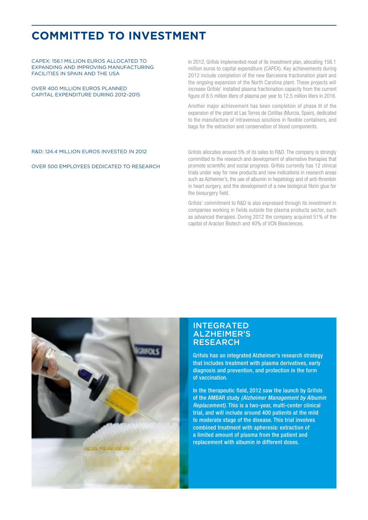# **Committed to investment**

CAPEX: 156.1 million euros allocated to expanding and improving manufacturing facilities in Spain and the USA

Over 400 million euros planned capital expenditure during 2012–2015 In 2012, Grifols implemented most of its investment plan, allocating 156.1 million euros to capital expenditure (CAPEX). Key achievements during 2012 include completion of the new Barcelona fractionation plant and the ongoing expansion of the North Carolina plant. These projects will increase Grifols' installed plasma fractionation capacity from the current figure of 8.5 million liters of plasma per year to 12.5 million liters in 2016.

Another major achievement has been completion of phase III of the expansion of the plant at Las Torres de Cotillas (Murcia, Spain), dedicated to the manufacture of intravenous solutions in flexible containers, and bags for the extraction and conservation of blood components.

### R&D: 124.4 million euros invested in 2012

Over 500 employees dedicated to research

Grifols allocates around 5% of its sales to R&D. The company is strongly committed to the research and development of alternative therapies that promote scientific and social progress. Grifols currently has 12 clinical trials under way for new products and new indications in research areas such as Alzheimer's, the use of albumin in hepatology and of anti-thrombin in heart surgery, and the development of a new biological fibrin glue for the biosurgery field.

Grifols' commitment to R&D is also expressed through its investment in companies working in fields outside the plasma products sector, such as advanced therapies. During 2012 the company acquired 51% of the capital of Araclon Biotech and 40% of VCN Biosciences.



### **INTEGRATED** Alzheimer's **RESEARCH**

Grifols has an integrated Alzheimer's research strategy that includes treatment with plasma derivatives, early diagnosis and prevention, and protection in the form of vaccination.

In the therapeutic field, 2012 saw the launch by Grifols of the AMBAR study *(Alzheimer Management by Albumin Replacement).* This is a two-year, multi-center clinical trial, and will include around 400 patients at the mild to moderate stage of the disease. This trial involves combined treatment with apheresis: extraction of a limited amount of plasma from the patient and replacement with albumin in different doses.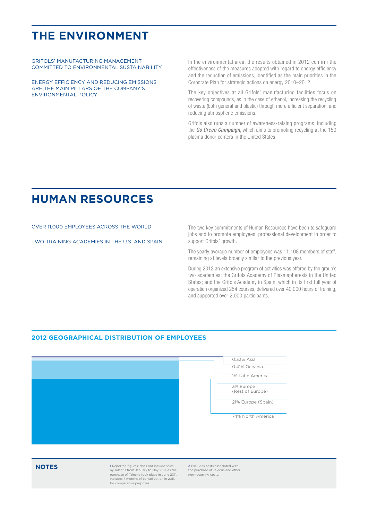## **The environment**

Grifols' manufacturing management committed to environmental sustainability

Energy efficiency and reducing emissions are the main pillars of the company's environmental policy

In the environmental area, the results obtained in 2012 confirm the effectiveness of the measures adopted with regard to energy efficiency and the reduction of emissions, identified as the main priorities in the Corporate Plan for strategic actions on energy 2010–2012.

The key objectives at all Grifols' manufacturing facilities focus on recovering compounds, as in the case of ethanol, increasing the recycling of waste (both general and plastic) through more efficient separation, and reducing atmospheric emissions.

Grifols also runs a number of awareness-raising programs, including the *Go Green Campaign,* which aims to promoting recycling at the 150 plasma donor centers in the United States.

## **Human Resources**

Over 11,000 employees across the world

Two training academies in the U.S. and Spain

The two key commitments of Human Resources have been to safeguard jobs and to promote employees' professional development in order to support Grifols' growth.

The yearly average number of employees was 11,108 members of staff, remaining at levels broadly similar to the previous year.

During 2012 an extensive program of activities was offered by the group's two academies: the Grifols Academy of Plasmapheresis in the United States; and the Grifols Academy in Spain, which in its first full year of operation organized 254 courses, delivered over 40,000 hours of training, and supported over 2,000 participants.

### **2012 Geographical Distribution of Employees**



**1** Reported figures: does not include sales<br>
by Talecris from January to May 2011, as the<br>
purchase of Talecris took place in June 2011. Includes 7 months of consolidation in 2011, for comparative purposes

**2** Excludes costs associated with the purchase of Talecris and other non-recurring costs.